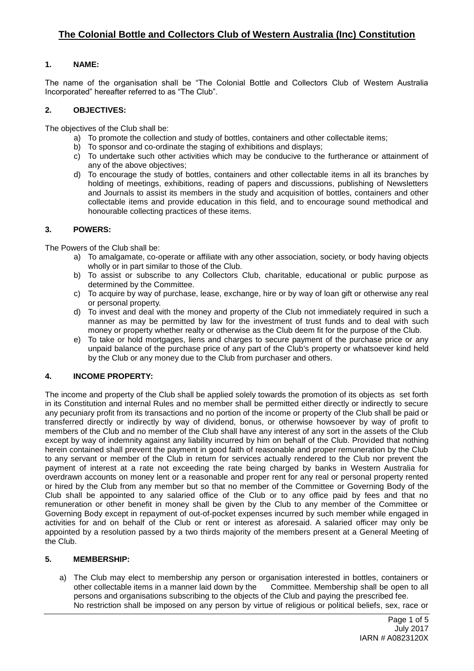# **1. NAME:**

The name of the organisation shall be "The Colonial Bottle and Collectors Club of Western Australia Incorporated" hereafter referred to as "The Club".

## **2. OBJECTIVES:**

The objectives of the Club shall be:

- a) To promote the collection and study of bottles, containers and other collectable items;
- b) To sponsor and co-ordinate the staging of exhibitions and displays;
- c) To undertake such other activities which may be conducive to the furtherance or attainment of any of the above objectives;
- d) To encourage the study of bottles, containers and other collectable items in all its branches by holding of meetings, exhibitions, reading of papers and discussions, publishing of Newsletters and Journals to assist its members in the study and acquisition of bottles, containers and other collectable items and provide education in this field, and to encourage sound methodical and honourable collecting practices of these items.

## **3. POWERS:**

The Powers of the Club shall be:

- a) To amalgamate, co-operate or affiliate with any other association, society, or body having objects wholly or in part similar to those of the Club.
- b) To assist or subscribe to any Collectors Club, charitable, educational or public purpose as determined by the Committee.
- c) To acquire by way of purchase, lease, exchange, hire or by way of loan gift or otherwise any real or personal property.
- d) To invest and deal with the money and property of the Club not immediately required in such a manner as may be permitted by law for the investment of trust funds and to deal with such money or property whether realty or otherwise as the Club deem fit for the purpose of the Club.
- e) To take or hold mortgages, liens and charges to secure payment of the purchase price or any unpaid balance of the purchase price of any part of the Club's property or whatsoever kind held by the Club or any money due to the Club from purchaser and others.

## **4. INCOME PROPERTY:**

The income and property of the Club shall be applied solely towards the promotion of its objects as set forth in its Constitution and internal Rules and no member shall be permitted either directly or indirectly to secure any pecuniary profit from its transactions and no portion of the income or property of the Club shall be paid or transferred directly or indirectly by way of dividend, bonus, or otherwise howsoever by way of profit to members of the Club and no member of the Club shall have any interest of any sort in the assets of the Club except by way of indemnity against any liability incurred by him on behalf of the Club. Provided that nothing herein contained shall prevent the payment in good faith of reasonable and proper remuneration by the Club to any servant or member of the Club in return for services actually rendered to the Club nor prevent the payment of interest at a rate not exceeding the rate being charged by banks in Western Australia for overdrawn accounts on money lent or a reasonable and proper rent for any real or personal property rented or hired by the Club from any member but so that no member of the Committee or Governing Body of the Club shall be appointed to any salaried office of the Club or to any office paid by fees and that no remuneration or other benefit in money shall be given by the Club to any member of the Committee or Governing Body except in repayment of out-of-pocket expenses incurred by such member while engaged in activities for and on behalf of the Club or rent or interest as aforesaid. A salaried officer may only be appointed by a resolution passed by a two thirds majority of the members present at a General Meeting of the Club.

### **5. MEMBERSHIP:**

a) The Club may elect to membership any person or organisation interested in bottles, containers or other collectable items in a manner laid down by the Committee. Membership shall be open to all persons and organisations subscribing to the objects of the Club and paying the prescribed fee. No restriction shall be imposed on any person by virtue of religious or political beliefs, sex, race or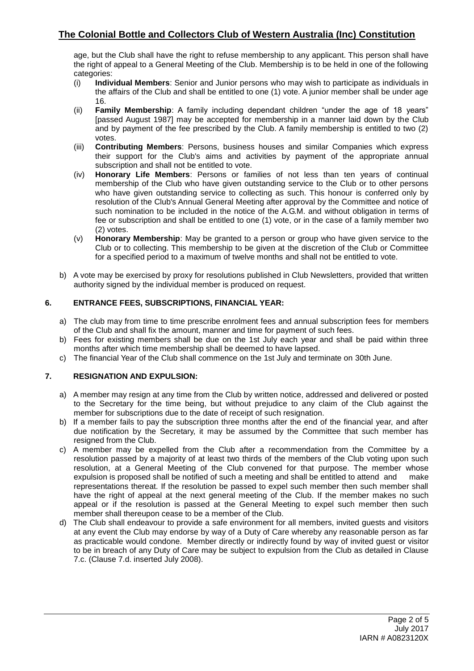# **The Colonial Bottle and Collectors Club of Western Australia (Inc) Constitution**

age, but the Club shall have the right to refuse membership to any applicant. This person shall have the right of appeal to a General Meeting of the Club. Membership is to be held in one of the following categories:

- (i) **Individual Members**: Senior and Junior persons who may wish to participate as individuals in the affairs of the Club and shall be entitled to one (1) vote. A junior member shall be under age 16.
- (ii) **Family Membership**: A family including dependant children "under the age of 18 years" [passed August 1987] may be accepted for membership in a manner laid down by the Club and by payment of the fee prescribed by the Club. A family membership is entitled to two (2) votes.
- (iii) **Contributing Members**: Persons, business houses and similar Companies which express their support for the Club's aims and activities by payment of the appropriate annual subscription and shall not be entitled to vote.
- (iv) **Honorary Life Members**: Persons or families of not less than ten years of continual membership of the Club who have given outstanding service to the Club or to other persons who have given outstanding service to collecting as such. This honour is conferred only by resolution of the Club's Annual General Meeting after approval by the Committee and notice of such nomination to be included in the notice of the A.G.M. and without obligation in terms of fee or subscription and shall be entitled to one (1) vote, or in the case of a family member two (2) votes.
- (v) **Honorary Membership**: May be granted to a person or group who have given service to the Club or to collecting. This membership to be given at the discretion of the Club or Committee for a specified period to a maximum of twelve months and shall not be entitled to vote.
- b) A vote may be exercised by proxy for resolutions published in Club Newsletters, provided that written authority signed by the individual member is produced on request.

## **6. ENTRANCE FEES, SUBSCRIPTIONS, FINANCIAL YEAR:**

- a) The club may from time to time prescribe enrolment fees and annual subscription fees for members of the Club and shall fix the amount, manner and time for payment of such fees.
- b) Fees for existing members shall be due on the 1st July each year and shall be paid within three months after which time membership shall be deemed to have lapsed.
- c) The financial Year of the Club shall commence on the 1st July and terminate on 30th June.

### **7. RESIGNATION AND EXPULSION:**

- a) A member may resign at any time from the Club by written notice, addressed and delivered or posted to the Secretary for the time being, but without prejudice to any claim of the Club against the member for subscriptions due to the date of receipt of such resignation.
- b) If a member fails to pay the subscription three months after the end of the financial year, and after due notification by the Secretary, it may be assumed by the Committee that such member has resigned from the Club.
- c) A member may be expelled from the Club after a recommendation from the Committee by a resolution passed by a majority of at least two thirds of the members of the Club voting upon such resolution, at a General Meeting of the Club convened for that purpose. The member whose expulsion is proposed shall be notified of such a meeting and shall be entitled to attend and make representations thereat. If the resolution be passed to expel such member then such member shall have the right of appeal at the next general meeting of the Club. If the member makes no such appeal or if the resolution is passed at the General Meeting to expel such member then such member shall thereupon cease to be a member of the Club.
- d) The Club shall endeavour to provide a safe environment for all members, invited guests and visitors at any event the Club may endorse by way of a Duty of Care whereby any reasonable person as far as practicable would condone. Member directly or indirectly found by way of invited guest or visitor to be in breach of any Duty of Care may be subject to expulsion from the Club as detailed in Clause 7.c. (Clause 7.d. inserted July 2008).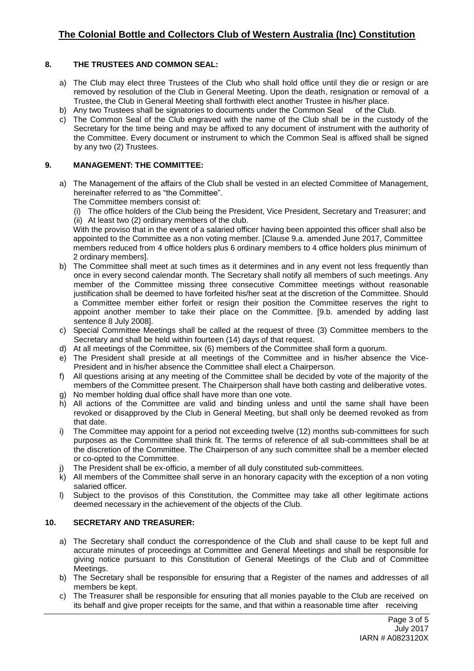## **8. THE TRUSTEES AND COMMON SEAL:**

- a) The Club may elect three Trustees of the Club who shall hold office until they die or resign or are removed by resolution of the Club in General Meeting. Upon the death, resignation or removal of a Trustee, the Club in General Meeting shall forthwith elect another Trustee in his/her place.
- b) Any two Trustees shall be signatories to documents under the Common Seal of the Club.
- c) The Common Seal of the Club engraved with the name of the Club shall be in the custody of the Secretary for the time being and may be affixed to any document of instrument with the authority of the Committee. Every document or instrument to which the Common Seal is affixed shall be signed by any two (2) Trustees.

## **9. MANAGEMENT: THE COMMITTEE:**

- a) The Management of the affairs of the Club shall be vested in an elected Committee of Management, hereinafter referred to as "the Committee".
	- The Committee members consist of:
	- (i) The office holders of the Club being the President, Vice President, Secretary and Treasurer; and (ii) At least two (2) ordinary members of the club.

With the proviso that in the event of a salaried officer having been appointed this officer shall also be appointed to the Committee as a non voting member. [Clause 9.a. amended June 2017, Committee members reduced from 4 office holders plus 6 ordinary members to 4 office holders plus minimum of 2 ordinary members].

- b) The Committee shall meet at such times as it determines and in any event not less frequently than once in every second calendar month. The Secretary shall notify all members of such meetings. Any member of the Committee missing three consecutive Committee meetings without reasonable justification shall be deemed to have forfeited his/her seat at the discretion of the Committee. Should a Committee member either forfeit or resign their position the Committee reserves the right to appoint another member to take their place on the Committee. [9.b. amended by adding last sentence 8 July 2008].
- c) Special Committee Meetings shall be called at the request of three (3) Committee members to the Secretary and shall be held within fourteen (14) days of that request.
- d) At all meetings of the Committee, six (6) members of the Committee shall form a quorum.
- e) The President shall preside at all meetings of the Committee and in his/her absence the Vice-President and in his/her absence the Committee shall elect a Chairperson.
- f) All questions arising at any meeting of the Committee shall be decided by vote of the majority of the members of the Committee present. The Chairperson shall have both casting and deliberative votes.
- g) No member holding dual office shall have more than one vote.
- h) All actions of the Committee are valid and binding unless and until the same shall have been revoked or disapproved by the Club in General Meeting, but shall only be deemed revoked as from that date.
- i) The Committee may appoint for a period not exceeding twelve (12) months sub-committees for such purposes as the Committee shall think fit. The terms of reference of all sub-committees shall be at the discretion of the Committee. The Chairperson of any such committee shall be a member elected or co-opted to the Committee.
- The President shall be ex-officio, a member of all duly constituted sub-committees.
- k) All members of the Committee shall serve in an honorary capacity with the exception of a non voting salaried officer.
- l) Subject to the provisos of this Constitution, the Committee may take all other legitimate actions deemed necessary in the achievement of the objects of the Club.

## **10. SECRETARY AND TREASURER:**

- a) The Secretary shall conduct the correspondence of the Club and shall cause to be kept full and accurate minutes of proceedings at Committee and General Meetings and shall be responsible for giving notice pursuant to this Constitution of General Meetings of the Club and of Committee Meetings.
- b) The Secretary shall be responsible for ensuring that a Register of the names and addresses of all members be kept.
- c) The Treasurer shall be responsible for ensuring that all monies payable to the Club are received on its behalf and give proper receipts for the same, and that within a reasonable time after receiving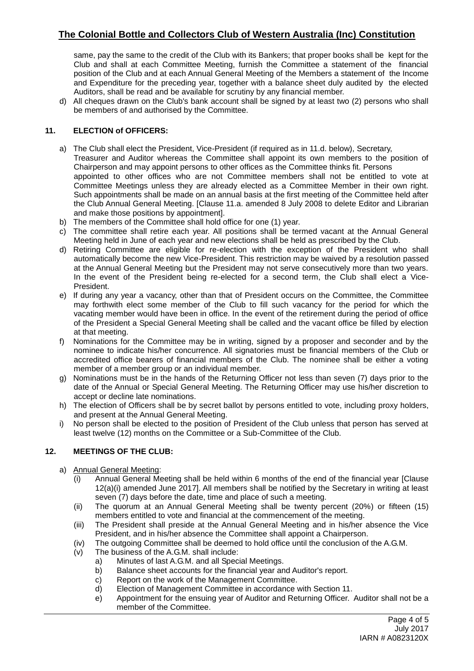# **The Colonial Bottle and Collectors Club of Western Australia (Inc) Constitution**

same, pay the same to the credit of the Club with its Bankers; that proper books shall be kept for the Club and shall at each Committee Meeting, furnish the Committee a statement of the financial position of the Club and at each Annual General Meeting of the Members a statement of the Income and Expenditure for the preceding year, together with a balance sheet duly audited by the elected Auditors, shall be read and be available for scrutiny by any financial member.

d) All cheques drawn on the Club's bank account shall be signed by at least two (2) persons who shall be members of and authorised by the Committee.

## **11. ELECTION of OFFICERS:**

- a) The Club shall elect the President, Vice-President (if required as in 11.d. below), Secretary, Treasurer and Auditor whereas the Committee shall appoint its own members to the position of Chairperson and may appoint persons to other offices as the Committee thinks fit. Persons appointed to other offices who are not Committee members shall not be entitled to vote at Committee Meetings unless they are already elected as a Committee Member in their own right. Such appointments shall be made on an annual basis at the first meeting of the Committee held after the Club Annual General Meeting. [Clause 11.a. amended 8 July 2008 to delete Editor and Librarian and make those positions by appointment].
- b) The members of the Committee shall hold office for one (1) year.
- c) The committee shall retire each year. All positions shall be termed vacant at the Annual General Meeting held in June of each year and new elections shall be held as prescribed by the Club.
- d) Retiring Committee are eligible for re-election with the exception of the President who shall automatically become the new Vice-President. This restriction may be waived by a resolution passed at the Annual General Meeting but the President may not serve consecutively more than two years. In the event of the President being re-elected for a second term, the Club shall elect a Vice-President.
- e) If during any year a vacancy, other than that of President occurs on the Committee, the Committee may forthwith elect some member of the Club to fill such vacancy for the period for which the vacating member would have been in office. In the event of the retirement during the period of office of the President a Special General Meeting shall be called and the vacant office be filled by election at that meeting.
- f) Nominations for the Committee may be in writing, signed by a proposer and seconder and by the nominee to indicate his/her concurrence. All signatories must be financial members of the Club or accredited office bearers of financial members of the Club. The nominee shall be either a voting member of a member group or an individual member.
- g) Nominations must be in the hands of the Returning Officer not less than seven (7) days prior to the date of the Annual or Special General Meeting. The Returning Officer may use his/her discretion to accept or decline late nominations.
- h) The election of Officers shall be by secret ballot by persons entitled to vote, including proxy holders, and present at the Annual General Meeting.
- i) No person shall be elected to the position of President of the Club unless that person has served at least twelve (12) months on the Committee or a Sub-Committee of the Club.

## **12. MEETINGS OF THE CLUB:**

- a) Annual General Meeting:
	- (i) Annual General Meeting shall be held within 6 months of the end of the financial year [Clause 12(a)(i) amended June 2017]. All members shall be notified by the Secretary in writing at least seven (7) days before the date, time and place of such a meeting.
	- (ii) The quorum at an Annual General Meeting shall be twenty percent (20%) or fifteen (15) members entitled to vote and financial at the commencement of the meeting.
	- (iii) The President shall preside at the Annual General Meeting and in his/her absence the Vice President, and in his/her absence the Committee shall appoint a Chairperson.
	- (iv) The outgoing Committee shall be deemed to hold office until the conclusion of the A.G.M.
	- (v) The business of the A.G.M. shall include:
		- a) Minutes of last A.G.M. and all Special Meetings.
		- b) Balance sheet accounts for the financial year and Auditor's report.
		- c) Report on the work of the Management Committee.
		- d) Election of Management Committee in accordance with Section 11.
		- e) Appointment for the ensuing year of Auditor and Returning Officer. Auditor shall not be a member of the Committee.